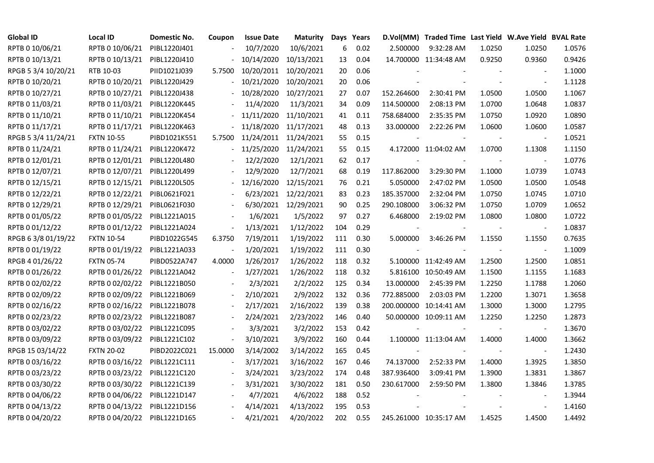| <b>Global ID</b>    | <b>Local ID</b>   | Domestic No. | Coupon                   | <b>Issue Date</b> | Maturity              |     | Days Years |            | D.Vol(MM) Traded Time Last Yield W.Ave Yield BVAL Rate |        |                          |        |
|---------------------|-------------------|--------------|--------------------------|-------------------|-----------------------|-----|------------|------------|--------------------------------------------------------|--------|--------------------------|--------|
| RPTB 0 10/06/21     | RPTB 0 10/06/21   | PIBL1220J401 |                          | 10/7/2020         | 10/6/2021             | 6   | 0.02       | 2.500000   | 9:32:28 AM                                             | 1.0250 | 1.0250                   | 1.0576 |
| RPTB 0 10/13/21     | RPTB 0 10/13/21   | PIBL1220J410 |                          | 10/14/2020        | 10/13/2021            | 13  | 0.04       |            | 14.700000 11:34:48 AM                                  | 0.9250 | 0.9360                   | 0.9426 |
| RPGB 5 3/4 10/20/21 | RTB 10-03         | PIID1021J039 | 5.7500                   |                   | 10/20/2011 10/20/2021 | 20  | 0.06       |            |                                                        |        |                          | 1.1000 |
| RPTB 0 10/20/21     | RPTB 0 10/20/21   | PIBL1220J429 | $\overline{\phantom{0}}$ | 10/21/2020        | 10/20/2021            | 20  | 0.06       |            |                                                        |        | $\blacksquare$           | 1.1128 |
| RPTB 0 10/27/21     | RPTB 0 10/27/21   | PIBL1220J438 |                          | 10/28/2020        | 10/27/2021            | 27  | 0.07       | 152.264600 | 2:30:41 PM                                             | 1.0500 | 1.0500                   | 1.1067 |
| RPTB 0 11/03/21     | RPTB 0 11/03/21   | PIBL1220K445 |                          | 11/4/2020         | 11/3/2021             | 34  | 0.09       | 114.500000 | 2:08:13 PM                                             | 1.0700 | 1.0648                   | 1.0837 |
| RPTB 0 11/10/21     | RPTB 0 11/10/21   | PIBL1220K454 |                          | 11/11/2020        | 11/10/2021            | 41  | 0.11       | 758.684000 | 2:35:35 PM                                             | 1.0750 | 1.0920                   | 1.0890 |
| RPTB 0 11/17/21     | RPTB 0 11/17/21   | PIBL1220K463 |                          | 11/18/2020        | 11/17/2021            | 48  | 0.13       | 33.000000  | 2:22:26 PM                                             | 1.0600 | 1.0600                   | 1.0587 |
| RPGB 5 3/4 11/24/21 | <b>FXTN 10-55</b> | PIBD1021K551 | 5.7500                   |                   | 11/24/2011 11/24/2021 | 55  | 0.15       |            |                                                        |        |                          | 1.0521 |
| RPTB 0 11/24/21     | RPTB 0 11/24/21   | PIBL1220K472 |                          | 11/25/2020        | 11/24/2021            | 55  | 0.15       |            | 4.172000 11:04:02 AM                                   | 1.0700 | 1.1308                   | 1.1150 |
| RPTB 0 12/01/21     | RPTB 0 12/01/21   | PIBL1220L480 |                          | 12/2/2020         | 12/1/2021             | 62  | 0.17       |            |                                                        |        |                          | 1.0776 |
| RPTB 0 12/07/21     | RPTB 0 12/07/21   | PIBL1220L499 |                          | 12/9/2020         | 12/7/2021             | 68  | 0.19       | 117.862000 | 3:29:30 PM                                             | 1.1000 | 1.0739                   | 1.0743 |
| RPTB 0 12/15/21     | RPTB 0 12/15/21   | PIBL1220L505 |                          | 12/16/2020        | 12/15/2021            | 76  | 0.21       | 5.050000   | 2:47:02 PM                                             | 1.0500 | 1.0500                   | 1.0548 |
| RPTB 0 12/22/21     | RPTB 0 12/22/21   | PIBL0621F021 |                          |                   | 6/23/2021 12/22/2021  | 83  | 0.23       | 185.357000 | 2:32:04 PM                                             | 1.0750 | 1.0745                   | 1.0710 |
| RPTB 0 12/29/21     | RPTB 0 12/29/21   | PIBL0621F030 |                          |                   | 6/30/2021 12/29/2021  | 90  | 0.25       | 290.108000 | 3:06:32 PM                                             | 1.0750 | 1.0709                   | 1.0652 |
| RPTB 0 01/05/22     | RPTB 0 01/05/22   | PIBL1221A015 |                          | 1/6/2021          | 1/5/2022              | 97  | 0.27       | 6.468000   | 2:19:02 PM                                             | 1.0800 | 1.0800                   | 1.0722 |
| RPTB 0 01/12/22     | RPTB 0 01/12/22   | PIBL1221A024 | $\overline{\phantom{a}}$ | 1/13/2021         | 1/12/2022             | 104 | 0.29       |            |                                                        |        |                          | 1.0837 |
| RPGB 63/8 01/19/22  | <b>FXTN 10-54</b> | PIBD1022G545 | 6.3750                   | 7/19/2011         | 1/19/2022             | 111 | 0.30       | 5.000000   | 3:46:26 PM                                             | 1.1550 | 1.1550                   | 0.7635 |
| RPTB 0 01/19/22     | RPTB 0 01/19/22   | PIBL1221A033 | $\frac{1}{2}$            | 1/20/2021         | 1/19/2022             | 111 | 0.30       |            |                                                        |        | $\sim$                   | 1.1009 |
| RPGB 4 01/26/22     | <b>FXTN 05-74</b> | PIBD0522A747 | 4.0000                   | 1/26/2017         | 1/26/2022             | 118 | 0.32       |            | 5.100000 11:42:49 AM                                   | 1.2500 | 1.2500                   | 1.0851 |
| RPTB 0 01/26/22     | RPTB 0 01/26/22   | PIBL1221A042 | $\blacksquare$           | 1/27/2021         | 1/26/2022             | 118 | 0.32       |            | 5.816100 10:50:49 AM                                   | 1.1500 | 1.1155                   | 1.1683 |
| RPTB 0 02/02/22     | RPTB 0 02/02/22   | PIBL1221B050 |                          | 2/3/2021          | 2/2/2022              | 125 | 0.34       | 13.000000  | 2:45:39 PM                                             | 1.2250 | 1.1788                   | 1.2060 |
| RPTB 0 02/09/22     | RPTB 0 02/09/22   | PIBL1221B069 |                          | 2/10/2021         | 2/9/2022              | 132 | 0.36       | 772.885000 | 2:03:03 PM                                             | 1.2200 | 1.3071                   | 1.3658 |
| RPTB 0 02/16/22     | RPTB 0 02/16/22   | PIBL1221B078 |                          | 2/17/2021         | 2/16/2022             | 139 | 0.38       |            | 200.000000 10:14:41 AM                                 | 1.3000 | 1.3000                   | 1.2795 |
| RPTB 0 02/23/22     | RPTB 0 02/23/22   | PIBL1221B087 | $\overline{\phantom{a}}$ | 2/24/2021         | 2/23/2022             | 146 | 0.40       |            | 50.000000 10:09:11 AM                                  | 1.2250 | 1.2250                   | 1.2873 |
| RPTB 0 03/02/22     | RPTB 0 03/02/22   | PIBL1221C095 |                          | 3/3/2021          | 3/2/2022              | 153 | 0.42       |            |                                                        |        | $\overline{\phantom{a}}$ | 1.3670 |
| RPTB 0 03/09/22     | RPTB 0 03/09/22   | PIBL1221C102 | $\blacksquare$           | 3/10/2021         | 3/9/2022              | 160 | 0.44       |            | 1.100000 11:13:04 AM                                   | 1.4000 | 1.4000                   | 1.3662 |
| RPGB 15 03/14/22    | <b>FXTN 20-02</b> | PIBD2022C021 | 15.0000                  | 3/14/2002         | 3/14/2022             | 165 | 0.45       |            |                                                        |        | $\blacksquare$           | 1.2430 |
| RPTB 0 03/16/22     | RPTB 0 03/16/22   | PIBL1221C111 |                          | 3/17/2021         | 3/16/2022             | 167 | 0.46       | 74.137000  | 2:52:33 PM                                             | 1.4000 | 1.3925                   | 1.3850 |
| RPTB 0 03/23/22     | RPTB 0 03/23/22   | PIBL1221C120 |                          | 3/24/2021         | 3/23/2022             | 174 | 0.48       | 387.936400 | 3:09:41 PM                                             | 1.3900 | 1.3831                   | 1.3867 |
| RPTB 0 03/30/22     | RPTB 0 03/30/22   | PIBL1221C139 |                          | 3/31/2021         | 3/30/2022             | 181 | 0.50       | 230.617000 | 2:59:50 PM                                             | 1.3800 | 1.3846                   | 1.3785 |
| RPTB 0 04/06/22     | RPTB 0 04/06/22   | PIBL1221D147 |                          | 4/7/2021          | 4/6/2022              | 188 | 0.52       |            |                                                        |        |                          | 1.3944 |
| RPTB 0 04/13/22     | RPTB 0 04/13/22   | PIBL1221D156 |                          | 4/14/2021         | 4/13/2022             | 195 | 0.53       |            |                                                        |        |                          | 1.4160 |
| RPTB 0 04/20/22     | RPTB 0 04/20/22   | PIBL1221D165 |                          | 4/21/2021         | 4/20/2022             | 202 | 0.55       |            | 245.261000 10:35:17 AM                                 | 1.4525 | 1.4500                   | 1.4492 |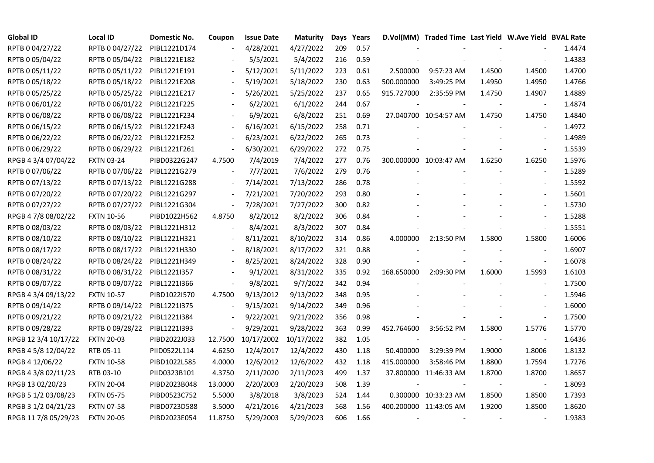| <b>Global ID</b>     | <b>Local ID</b>   | Domestic No. | Coupon                   | <b>Issue Date</b> | <b>Maturity</b> |     | Days Years |            | D.Vol(MM) Traded Time Last Yield W.Ave Yield BVAL Rate |        |                          |        |
|----------------------|-------------------|--------------|--------------------------|-------------------|-----------------|-----|------------|------------|--------------------------------------------------------|--------|--------------------------|--------|
| RPTB 0 04/27/22      | RPTB 0 04/27/22   | PIBL1221D174 |                          | 4/28/2021         | 4/27/2022       | 209 | 0.57       |            |                                                        |        |                          | 1.4474 |
| RPTB 0 05/04/22      | RPTB 0 05/04/22   | PIBL1221E182 |                          | 5/5/2021          | 5/4/2022        | 216 | 0.59       |            |                                                        |        |                          | 1.4383 |
| RPTB 0 05/11/22      | RPTB 0 05/11/22   | PIBL1221E191 | $\overline{\phantom{a}}$ | 5/12/2021         | 5/11/2022       | 223 | 0.61       | 2.500000   | 9:57:23 AM                                             | 1.4500 | 1.4500                   | 1.4700 |
| RPTB 0 05/18/22      | RPTB 0 05/18/22   | PIBL1221E208 | $\overline{\phantom{a}}$ | 5/19/2021         | 5/18/2022       | 230 | 0.63       | 500.000000 | 3:49:25 PM                                             | 1.4950 | 1.4950                   | 1.4766 |
| RPTB 0 05/25/22      | RPTB 0 05/25/22   | PIBL1221E217 |                          | 5/26/2021         | 5/25/2022       | 237 | 0.65       | 915.727000 | 2:35:59 PM                                             | 1.4750 | 1.4907                   | 1.4889 |
| RPTB 0 06/01/22      | RPTB 0 06/01/22   | PIBL1221F225 |                          | 6/2/2021          | 6/1/2022        | 244 | 0.67       |            |                                                        |        |                          | 1.4874 |
| RPTB 0 06/08/22      | RPTB 0 06/08/22   | PIBL1221F234 |                          | 6/9/2021          | 6/8/2022        | 251 | 0.69       |            | 27.040700 10:54:57 AM                                  | 1.4750 | 1.4750                   | 1.4840 |
| RPTB 0 06/15/22      | RPTB 0 06/15/22   | PIBL1221F243 |                          | 6/16/2021         | 6/15/2022       | 258 | 0.71       |            |                                                        |        |                          | 1.4972 |
| RPTB 0 06/22/22      | RPTB 0 06/22/22   | PIBL1221F252 |                          | 6/23/2021         | 6/22/2022       | 265 | 0.73       |            |                                                        |        |                          | 1.4989 |
| RPTB 0 06/29/22      | RPTB 0 06/29/22   | PIBL1221F261 | $\blacksquare$           | 6/30/2021         | 6/29/2022       | 272 | 0.75       |            |                                                        |        | $\blacksquare$           | 1.5539 |
| RPGB 4 3/4 07/04/22  | <b>FXTN 03-24</b> | PIBD0322G247 | 4.7500                   | 7/4/2019          | 7/4/2022        | 277 | 0.76       |            | 300.000000 10:03:47 AM                                 | 1.6250 | 1.6250                   | 1.5976 |
| RPTB 0 07/06/22      | RPTB 0 07/06/22   | PIBL1221G279 | $\overline{\phantom{a}}$ | 7/7/2021          | 7/6/2022        | 279 | 0.76       |            |                                                        |        | $\blacksquare$           | 1.5289 |
| RPTB 0 07/13/22      | RPTB 0 07/13/22   | PIBL1221G288 | $\blacksquare$           | 7/14/2021         | 7/13/2022       | 286 | 0.78       |            |                                                        |        | $\overline{\phantom{a}}$ | 1.5592 |
| RPTB 0 07/20/22      | RPTB 0 07/20/22   | PIBL1221G297 | $\overline{\phantom{a}}$ | 7/21/2021         | 7/20/2022       | 293 | 0.80       |            |                                                        |        | $\blacksquare$           | 1.5601 |
| RPTB 0 07/27/22      | RPTB 0 07/27/22   | PIBL1221G304 | $\overline{\phantom{a}}$ | 7/28/2021         | 7/27/2022       | 300 | 0.82       |            |                                                        |        |                          | 1.5730 |
| RPGB 4 7/8 08/02/22  | <b>FXTN 10-56</b> | PIBD1022H562 | 4.8750                   | 8/2/2012          | 8/2/2022        | 306 | 0.84       |            |                                                        |        |                          | 1.5288 |
| RPTB 0 08/03/22      | RPTB 0 08/03/22   | PIBL1221H312 |                          | 8/4/2021          | 8/3/2022        | 307 | 0.84       |            |                                                        |        | $\blacksquare$           | 1.5551 |
| RPTB 0 08/10/22      | RPTB 0 08/10/22   | PIBL1221H321 | $\overline{\phantom{a}}$ | 8/11/2021         | 8/10/2022       | 314 | 0.86       | 4.000000   | 2:13:50 PM                                             | 1.5800 | 1.5800                   | 1.6006 |
| RPTB 0 08/17/22      | RPTB 0 08/17/22   | PIBL1221H330 | $\blacksquare$           | 8/18/2021         | 8/17/2022       | 321 | 0.88       |            |                                                        |        |                          | 1.6907 |
| RPTB 0 08/24/22      | RPTB 0 08/24/22   | PIBL1221H349 | $\overline{\phantom{a}}$ | 8/25/2021         | 8/24/2022       | 328 | 0.90       |            |                                                        |        | $\overline{\phantom{a}}$ | 1.6078 |
| RPTB 0 08/31/22      | RPTB 0 08/31/22   | PIBL1221I357 | $\overline{\phantom{a}}$ | 9/1/2021          | 8/31/2022       | 335 | 0.92       | 168.650000 | 2:09:30 PM                                             | 1.6000 | 1.5993                   | 1.6103 |
| RPTB 0 09/07/22      | RPTB 0 09/07/22   | PIBL1221I366 | $\overline{\phantom{a}}$ | 9/8/2021          | 9/7/2022        | 342 | 0.94       |            |                                                        |        | $\blacksquare$           | 1.7500 |
| RPGB 4 3/4 09/13/22  | <b>FXTN 10-57</b> | PIBD1022I570 | 4.7500                   | 9/13/2012         | 9/13/2022       | 348 | 0.95       |            |                                                        |        |                          | 1.5946 |
| RPTB 0 09/14/22      | RPTB 0 09/14/22   | PIBL1221I375 |                          | 9/15/2021         | 9/14/2022       | 349 | 0.96       |            |                                                        |        |                          | 1.6000 |
| RPTB 0 09/21/22      | RPTB 0 09/21/22   | PIBL1221I384 | $\blacksquare$           | 9/22/2021         | 9/21/2022       | 356 | 0.98       |            |                                                        |        | $\Box$                   | 1.7500 |
| RPTB 0 09/28/22      | RPTB 0 09/28/22   | PIBL1221I393 | $\frac{1}{2}$            | 9/29/2021         | 9/28/2022       | 363 | 0.99       | 452.764600 | 3:56:52 PM                                             | 1.5800 | 1.5776                   | 1.5770 |
| RPGB 12 3/4 10/17/22 | <b>FXTN 20-03</b> | PIBD2022J033 | 12.7500                  | 10/17/2002        | 10/17/2022      | 382 | 1.05       |            |                                                        |        | $\sim$                   | 1.6436 |
| RPGB 4 5/8 12/04/22  | RTB 05-11         | PIID0522L114 | 4.6250                   | 12/4/2017         | 12/4/2022       | 430 | 1.18       | 50.400000  | 3:29:39 PM                                             | 1.9000 | 1.8006                   | 1.8132 |
| RPGB 4 12/06/22      | <b>FXTN 10-58</b> | PIBD1022L585 | 4.0000                   | 12/6/2012         | 12/6/2022       | 432 | 1.18       | 415.000000 | 3:58:46 PM                                             | 1.8800 | 1.7594                   | 1.7276 |
| RPGB 4 3/8 02/11/23  | RTB 03-10         | PIID0323B101 | 4.3750                   | 2/11/2020         | 2/11/2023       | 499 | 1.37       |            | 37.800000 11:46:33 AM                                  | 1.8700 | 1.8700                   | 1.8657 |
| RPGB 13 02/20/23     | <b>FXTN 20-04</b> | PIBD2023B048 | 13.0000                  | 2/20/2003         | 2/20/2023       | 508 | 1.39       |            |                                                        |        |                          | 1.8093 |
| RPGB 5 1/2 03/08/23  | <b>FXTN 05-75</b> | PIBD0523C752 | 5.5000                   | 3/8/2018          | 3/8/2023        | 524 | 1.44       |            | 0.300000 10:33:23 AM                                   | 1.8500 | 1.8500                   | 1.7393 |
| RPGB 3 1/2 04/21/23  | <b>FXTN 07-58</b> | PIBD0723D588 | 3.5000                   | 4/21/2016         | 4/21/2023       | 568 | 1.56       |            | 400.200000 11:43:05 AM                                 | 1.9200 | 1.8500                   | 1.8620 |
| RPGB 11 7/8 05/29/23 | <b>FXTN 20-05</b> | PIBD2023E054 | 11.8750                  | 5/29/2003         | 5/29/2023       | 606 | 1.66       |            |                                                        |        |                          | 1.9383 |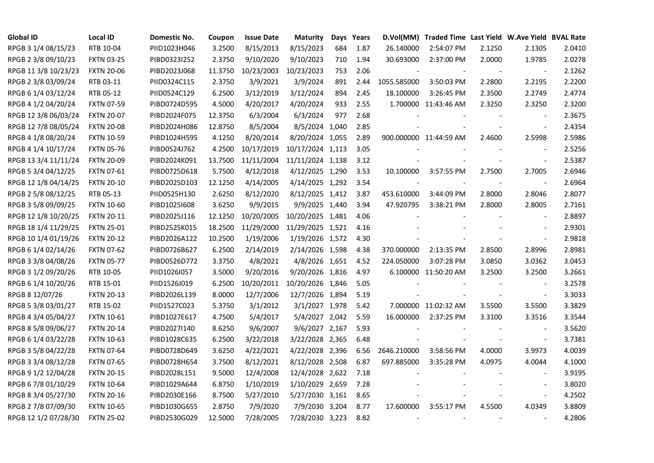| <b>Global ID</b>     | <b>Local ID</b>   | Domestic No. | Coupon  | <b>Issue Date</b> | <b>Maturity</b>  |     | Days Years | D.Vol(MM)   | Traded Time Last Yield W.Ave Yield BVAL Rate |        |                          |        |
|----------------------|-------------------|--------------|---------|-------------------|------------------|-----|------------|-------------|----------------------------------------------|--------|--------------------------|--------|
| RPGB 3 1/4 08/15/23  | RTB 10-04         | PIID1023H046 | 3.2500  | 8/15/2013         | 8/15/2023        | 684 | 1.87       | 26.140000   | 2:54:07 PM                                   | 2.1250 | 2.1305                   | 2.0410 |
| RPGB 2 3/8 09/10/23  | <b>FXTN 03-25</b> | PIBD0323I252 | 2.3750  | 9/10/2020         | 9/10/2023        | 710 | 1.94       | 30.693000   | 2:37:00 PM                                   | 2.0000 | 1.9785                   | 2.0278 |
| RPGB 11 3/8 10/23/23 | <b>FXTN 20-06</b> | PIBD2023J068 | 11.3750 | 10/23/2003        | 10/23/2023       | 753 | 2.06       |             |                                              | $\sim$ | $\overline{\phantom{a}}$ | 2.1262 |
| RPGB 2 3/8 03/09/24  | RTB 03-11         | PIID0324C115 | 2.3750  | 3/9/2021          | 3/9/2024         | 891 | 2.44       | 1055.585000 | 3:50:03 PM                                   | 2.2800 | 2.2195                   | 2.2200 |
| RPGB 6 1/4 03/12/24  | RTB 05-12         | PIID0524C129 | 6.2500  | 3/12/2019         | 3/12/2024        | 894 | 2.45       | 18.100000   | 3:26:45 PM                                   | 2.3500 | 2.2749                   | 2.4774 |
| RPGB 4 1/2 04/20/24  | <b>FXTN 07-59</b> | PIBD0724D595 | 4.5000  | 4/20/2017         | 4/20/2024        | 933 | 2.55       |             | 1.700000 11:43:46 AM                         | 2.3250 | 2.3250                   | 2.3200 |
| RPGB 12 3/8 06/03/24 | <b>FXTN 20-07</b> | PIBD2024F075 | 12.3750 | 6/3/2004          | 6/3/2024         | 977 | 2.68       |             |                                              |        | $\overline{\phantom{a}}$ | 2.3675 |
| RPGB 12 7/8 08/05/24 | <b>FXTN 20-08</b> | PIBD2024H086 | 12.8750 | 8/5/2004          | 8/5/2024 1,040   |     | 2.85       |             |                                              |        | $\overline{\phantom{a}}$ | 2.4354 |
| RPGB 4 1/8 08/20/24  | <b>FXTN 10-59</b> | PIBD1024H595 | 4.1250  | 8/20/2014         | 8/20/2024 1,055  |     | 2.89       |             | 900.000000 11:44:59 AM                       | 2.4600 | 2.5998                   | 2.5986 |
| RPGB 4 1/4 10/17/24  | <b>FXTN 05-76</b> | PIBD0524J762 | 4.2500  | 10/17/2019        | 10/17/2024 1,113 |     | 3.05       |             |                                              |        | $\overline{\phantom{a}}$ | 2.5256 |
| RPGB 13 3/4 11/11/24 | <b>FXTN 20-09</b> | PIBD2024K091 | 13.7500 | 11/11/2004        | 11/11/2024 1,138 |     | 3.12       |             |                                              |        | $\overline{\phantom{a}}$ | 2.5387 |
| RPGB 5 3/4 04/12/25  | FXTN 07-61        | PIBD0725D618 | 5.7500  | 4/12/2018         | 4/12/2025 1,290  |     | 3.53       | 10.100000   | 3:57:55 PM                                   | 2.7500 | 2.7005                   | 2.6946 |
| RPGB 12 1/8 04/14/25 | <b>FXTN 20-10</b> | PIBD2025D103 | 12.1250 | 4/14/2005         | 4/14/2025 1,292  |     | 3.54       |             |                                              |        | $\blacksquare$           | 2.6964 |
| RPGB 2 5/8 08/12/25  | RTB 05-13         | PIID0525H130 | 2.6250  | 8/12/2020         | 8/12/2025 1,412  |     | 3.87       | 453.610000  | 3:44:09 PM                                   | 2.8000 | 2.8046                   | 2.8077 |
| RPGB 3 5/8 09/09/25  | <b>FXTN 10-60</b> | PIBD10251608 | 3.6250  | 9/9/2015          | 9/9/2025 1,440   |     | 3.94       | 47.920795   | 3:38:21 PM                                   | 2.8000 | 2.8005                   | 2.7161 |
| RPGB 12 1/8 10/20/25 | <b>FXTN 20-11</b> | PIBD2025J116 | 12.1250 | 10/20/2005        | 10/20/2025 1,481 |     | 4.06       |             |                                              |        |                          | 2.8897 |
| RPGB 18 1/4 11/29/25 | <b>FXTN 25-01</b> | PIBD2525K015 | 18.2500 | 11/29/2000        | 11/29/2025 1,521 |     | 4.16       |             |                                              |        | $\overline{\phantom{a}}$ | 2.9301 |
| RPGB 10 1/4 01/19/26 | <b>FXTN 20-12</b> | PIBD2026A122 | 10.2500 | 1/19/2006         | 1/19/2026 1,572  |     | 4.30       |             |                                              |        | $\blacksquare$           | 2.9818 |
| RPGB 6 1/4 02/14/26  | <b>FXTN 07-62</b> | PIBD0726B627 | 6.2500  | 2/14/2019         | 2/14/2026 1,598  |     | 4.38       | 370.000000  | 2:13:35 PM                                   | 2.8500 | 2.8996                   | 2.8981 |
| RPGB 3 3/8 04/08/26  | <b>FXTN 05-77</b> | PIBD0526D772 | 3.3750  | 4/8/2021          | 4/8/2026 1,651   |     | 4.52       | 224.050000  | 3:07:28 PM                                   | 3.0850 | 3.0362                   | 3.0453 |
| RPGB 3 1/2 09/20/26  | RTB 10-05         | PIID1026I057 | 3.5000  | 9/20/2016         | 9/20/2026 1,816  |     | 4.97       |             | 6.100000 11:50:20 AM                         | 3.2500 | 3.2500                   | 3.2661 |
| RPGB 6 1/4 10/20/26  | RTB 15-01         | PIID1526J019 | 6.2500  | 10/20/2011        | 10/20/2026 1,846 |     | 5.05       |             |                                              |        | $\sim$                   | 3.2578 |
| RPGB 8 12/07/26      | <b>FXTN 20-13</b> | PIBD2026L139 | 8.0000  | 12/7/2006         | 12/7/2026 1,894  |     | 5.19       |             |                                              |        | $\overline{\phantom{a}}$ | 3.3033 |
| RPGB 5 3/8 03/01/27  | RTB 15-02         | PIID1527C023 | 5.3750  | 3/1/2012          | 3/1/2027 1,978   |     | 5.42       |             | 7.000000 11:02:32 AM                         | 3.5500 | 3.5500                   | 3.3829 |
| RPGB 4 3/4 05/04/27  | <b>FXTN 10-61</b> | PIBD1027E617 | 4.7500  | 5/4/2017          | 5/4/2027 2,042   |     | 5.59       | 16.000000   | 2:37:25 PM                                   | 3.3100 | 3.3516                   | 3.3544 |
| RPGB 8 5/8 09/06/27  | <b>FXTN 20-14</b> | PIBD2027I140 | 8.6250  | 9/6/2007          | 9/6/2027 2,167   |     | 5.93       |             |                                              |        | $\blacksquare$           | 3.5620 |
| RPGB 6 1/4 03/22/28  | <b>FXTN 10-63</b> | PIBD1028C635 | 6.2500  | 3/22/2018         | 3/22/2028 2,365  |     | 6.48       |             |                                              |        | $\blacksquare$           | 3.7381 |
| RPGB 3 5/8 04/22/28  | <b>FXTN 07-64</b> | PIBD0728D649 | 3.6250  | 4/22/2021         | 4/22/2028 2,396  |     | 6.56       | 2646.210000 | 3:58:56 PM                                   | 4.0000 | 3.9973                   | 4.0039 |
| RPGB 3 3/4 08/12/28  | <b>FXTN 07-65</b> | PIBD0728H654 | 3.7500  | 8/12/2021         | 8/12/2028 2,508  |     | 6.87       | 697.885000  | 3:35:28 PM                                   | 4.0975 | 4.0044                   | 4.1000 |
| RPGB 9 1/2 12/04/28  | <b>FXTN 20-15</b> | PIBD2028L151 | 9.5000  | 12/4/2008         | 12/4/2028 2,622  |     | 7.18       |             |                                              |        |                          | 3.9195 |
| RPGB 67/8 01/10/29   | <b>FXTN 10-64</b> | PIBD1029A644 | 6.8750  | 1/10/2019         | 1/10/2029 2,659  |     | 7.28       |             |                                              |        | $\sim$                   | 3.8020 |
| RPGB 8 3/4 05/27/30  | <b>FXTN 20-16</b> | PIBD2030E166 | 8.7500  | 5/27/2010         | 5/27/2030 3,161  |     | 8.65       |             |                                              |        | $\blacksquare$           | 4.2502 |
| RPGB 2 7/8 07/09/30  | <b>FXTN 10-65</b> | PIBD1030G655 | 2.8750  | 7/9/2020          | 7/9/2030 3,204   |     | 8.77       | 17.600000   | 3:55:17 PM                                   | 4.5500 | 4.0349                   | 3.8809 |
| RPGB 12 1/2 07/28/30 | <b>FXTN 25-02</b> | PIBD2530G029 | 12.5000 | 7/28/2005         | 7/28/2030 3,223  |     | 8.82       |             |                                              |        | $\blacksquare$           | 4.2806 |